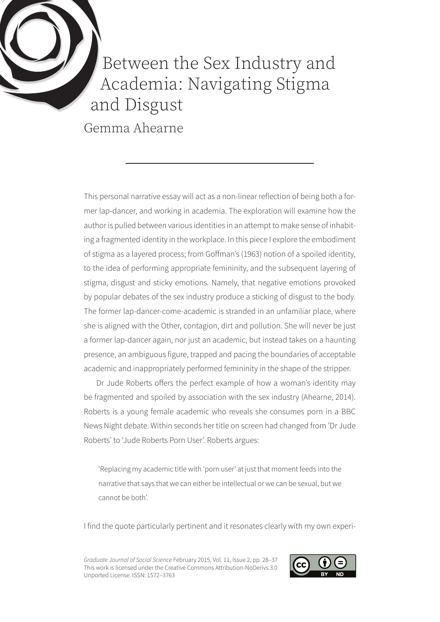

## Between the Sex Industry and Academia: Navigating Stigma and Disgust

Gemma Ahearne

This personal narrative essay will act as a non-linear reflection of being both a former lap-dancer, and working in academia. The exploration will examine how the author is pulled between various identities in an attempt to make sense of inhabiting a fragmented identity in the workplace. In this piece I explore the embodiment of stigma as a layered process; from Goffman's (1963) notion of a spoiled identity, to the idea of performing appropriate femininity, and the subsequent layering of stigma, disgust and sticky emotions. Namely, that negative emotions provoked by popular debates of the sex industry produce a sticking of disgust to the body. The former lap-dancer-come-academic is stranded in an unfamiliar place, where she is aligned with the Other, contagion, dirt and pollution. She will never be just a former lap-dancer again, nor just an academic, but instead takes on a haunting presence, an ambiguous figure, trapped and pacing the boundaries of acceptable academic and inappropriately performed femininity in the shape of the stripper.

Dr Jude Roberts offers the perfect example of how a woman's identity may be fragmented and spoiled by association with the sex industry (Ahearne, 2014). Roberts is a young female academic who reveals she consumes porn in a BBC News Night debate. Within seconds her title on screen had changed from 'Dr Jude Roberts' to 'Jude Roberts Porn User'. Roberts argues:

'Replacing my academic title with 'porn user' at just that moment feeds into the narrative that says that we can either be intellectual or we can be sexual, but we cannot be both'.

I find the quote particularly pertinent and it resonates clearly with my own experi-

*Graduate Journal of Social Science* February 2015, Vol. 11, Issue 2, pp. 28–37 This work is licensed under the Creative Commons Attribution-NoDerivs 3.0 Unported License. ISSN: 1572–3763

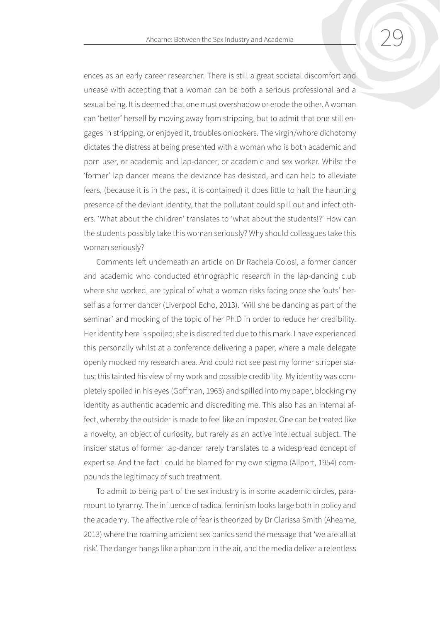ences as an early career researcher. There is still a great societal discomfort and unease with accepting that a woman can be both a serious professional and a sexual being. It is deemed that one must overshadow or erode the other. A woman can 'better' herself by moving away from stripping, but to admit that one still engages in stripping, or enjoyed it, troubles onlookers. The virgin/whore dichotomy dictates the distress at being presented with a woman who is both academic and porn user, or academic and lap-dancer, or academic and sex worker. Whilst the 'former' lap dancer means the deviance has desisted, and can help to alleviate fears, (because it is in the past, it is contained) it does little to halt the haunting presence of the deviant identity, that the pollutant could spill out and infect others. 'What about the children' translates to 'what about the students!?' How can the students possibly take this woman seriously? Why should colleagues take this woman seriously?

Comments left underneath an article on Dr Rachela Colosi, a former dancer and academic who conducted ethnographic research in the lap-dancing club where she worked, are typical of what a woman risks facing once she 'outs' herself as a former dancer (Liverpool Echo, 2013). 'Will she be dancing as part of the seminar' and mocking of the topic of her Ph.D in order to reduce her credibility. Her identity here is spoiled; she is discredited due to this mark. I have experienced this personally whilst at a conference delivering a paper, where a male delegate openly mocked my research area. And could not see past my former stripper status; this tainted his view of my work and possible credibility. My identity was completely spoiled in his eyes (Goffman, 1963) and spilled into my paper, blocking my identity as authentic academic and discrediting me. This also has an internal affect, whereby the outsider is made to feel like an imposter. One can be treated like a novelty, an object of curiosity, but rarely as an active intellectual subject. The insider status of former lap-dancer rarely translates to a widespread concept of expertise. And the fact I could be blamed for my own stigma (Allport, 1954) compounds the legitimacy of such treatment.

To admit to being part of the sex industry is in some academic circles, paramount to tyranny. The influence of radical feminism looks large both in policy and the academy. The affective role of fear is theorized by Dr Clarissa Smith (Ahearne, 2013) where the roaming ambient sex panics send the message that 'we are all at risk'. The danger hangs like a phantom in the air, and the media deliver a relentless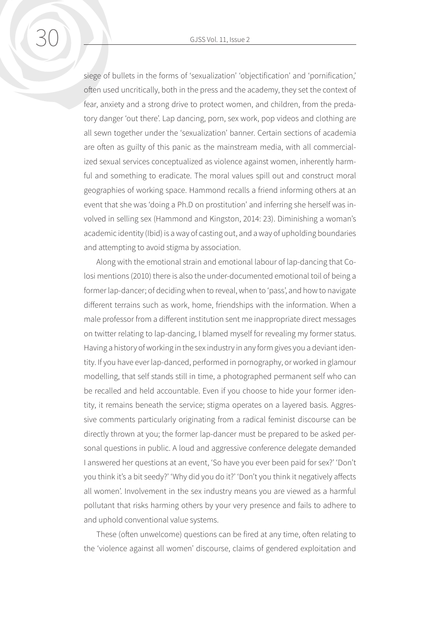siege of bullets in the forms of 'sexualization' 'objectification' and 'pornification,' often used uncritically, both in the press and the academy, they set the context of fear, anxiety and a strong drive to protect women, and children, from the predatory danger 'out there'. Lap dancing, porn, sex work, pop videos and clothing are all sewn together under the 'sexualization' banner. Certain sections of academia are often as guilty of this panic as the mainstream media, with all commercialized sexual services conceptualized as violence against women, inherently harmful and something to eradicate. The moral values spill out and construct moral geographies of working space. Hammond recalls a friend informing others at an event that she was 'doing a Ph.D on prostitution' and inferring she herself was involved in selling sex (Hammond and Kingston, 2014: 23). Diminishing a woman's academic identity (Ibid) is a way of casting out, and a way of upholding boundaries and attempting to avoid stigma by association.

Along with the emotional strain and emotional labour of lap-dancing that Colosi mentions (2010) there is also the under-documented emotional toil of being a former lap-dancer; of deciding when to reveal, when to 'pass', and how to navigate different terrains such as work, home, friendships with the information. When a male professor from a different institution sent me inappropriate direct messages on twitter relating to lap-dancing, I blamed myself for revealing my former status. Having a history of working in the sex industry in any form gives you a deviant identity. If you have ever lap-danced, performed in pornography, or worked in glamour modelling, that self stands still in time, a photographed permanent self who can be recalled and held accountable. Even if you choose to hide your former identity, it remains beneath the service; stigma operates on a layered basis. Aggressive comments particularly originating from a radical feminist discourse can be directly thrown at you; the former lap-dancer must be prepared to be asked personal questions in public. A loud and aggressive conference delegate demanded I answered her questions at an event, 'So have you ever been paid for sex?' 'Don't you think it's a bit seedy?' 'Why did you do it?' 'Don't you think it negatively affects all women'. Involvement in the sex industry means you are viewed as a harmful pollutant that risks harming others by your very presence and fails to adhere to and uphold conventional value systems.

These (often unwelcome) questions can be fired at any time, often relating to the 'violence against all women' discourse, claims of gendered exploitation and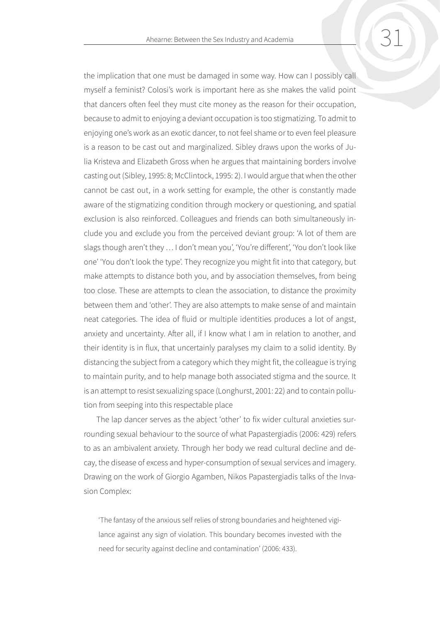the implication that one must be damaged in some way. How can I possibly call myself a feminist? Colosi's work is important here as she makes the valid point that dancers often feel they must cite money as the reason for their occupation, because to admit to enjoying a deviant occupation is too stigmatizing. To admit to enjoying one's work as an exotic dancer, to not feel shame or to even feel pleasure is a reason to be cast out and marginalized. Sibley draws upon the works of Julia Kristeva and Elizabeth Gross when he argues that maintaining borders involve casting out (Sibley, 1995: 8; McClintock, 1995: 2). I would argue that when the other cannot be cast out, in a work setting for example, the other is constantly made aware of the stigmatizing condition through mockery or questioning, and spatial exclusion is also reinforced. Colleagues and friends can both simultaneously include you and exclude you from the perceived deviant group: 'A lot of them are slags though aren't they … I don't mean you', 'You're different', 'You don't look like one' 'You don't look the type'. They recognize you might fit into that category, but make attempts to distance both you, and by association themselves, from being too close. These are attempts to clean the association, to distance the proximity between them and 'other'. They are also attempts to make sense of and maintain neat categories. The idea of fluid or multiple identities produces a lot of angst, anxiety and uncertainty. After all, if I know what I am in relation to another, and their identity is in flux, that uncertainly paralyses my claim to a solid identity. By distancing the subject from a category which they might fit, the colleague is trying to maintain purity, and to help manage both associated stigma and the source. It is an attempt to resist sexualizing space (Longhurst, 2001: 22) and to contain pollution from seeping into this respectable place

The lap dancer serves as the abject 'other' to fix wider cultural anxieties surrounding sexual behaviour to the source of what Papastergiadis (2006: 429) refers to as an ambivalent anxiety. Through her body we read cultural decline and decay, the disease of excess and hyper-consumption of sexual services and imagery. Drawing on the work of Giorgio Agamben, Nikos Papastergiadis talks of the Invasion Complex:

'The fantasy of the anxious self relies of strong boundaries and heightened vigilance against any sign of violation. This boundary becomes invested with the need for security against decline and contamination' (2006: 433).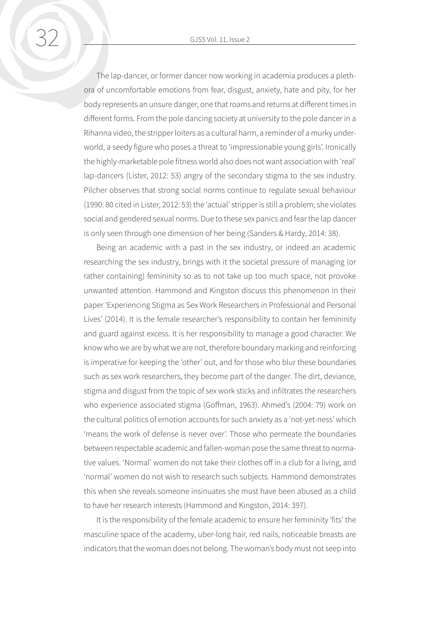The lap-dancer, or former dancer now working in academia produces a plethora of uncomfortable emotions from fear, disgust, anxiety, hate and pity, for her body represents an unsure danger, one that roams and returns at different times in different forms. From the pole dancing society at university to the pole dancer in a Rihanna video, the stripper loiters as a cultural harm, a reminder of a murky underworld, a seedy figure who poses a threat to 'impressionable young girls'. Ironically the highly-marketable pole fitness world also does not want association with 'real' lap-dancers (Lister, 2012: 53) angry of the secondary stigma to the sex industry. Pilcher observes that strong social norms continue to regulate sexual behaviour (1990: 80 cited in Lister, 2012: 53) the 'actual' stripper is still a problem; she violates social and gendered sexual norms. Due to these sex panics and fear the lap dancer is only seen through one dimension of her being (Sanders & Hardy, 2014: 38).

Being an academic with a past in the sex industry, or indeed an academic researching the sex industry, brings with it the societal pressure of managing (or rather containing) femininity so as to not take up too much space, not provoke unwanted attention. Hammond and Kingston discuss this phenomenon in their paper 'Experiencing Stigma as Sex Work Researchers in Professional and Personal Lives' (2014). It is the female researcher's responsibility to contain her femininity and guard against excess. It is her responsibility to manage a good character. We know who we are by what we are not, therefore boundary marking and reinforcing is imperative for keeping the 'other' out, and for those who blur these boundaries such as sex work researchers, they become part of the danger. The dirt, deviance, stigma and disgust from the topic of sex work sticks and infiltrates the researchers who experience associated stigma (Goffman, 1963). Ahmed's (2004: 79) work on the cultural politics of emotion accounts for such anxiety as a 'not-yet-ness' which 'means the work of defense is never over'. Those who permeate the boundaries between respectable academic and fallen-woman pose the same threat to normative values. 'Normal' women do not take their clothes off in a club for a living, and 'normal' women do not wish to research such subjects. Hammond demonstrates this when she reveals someone insinuates she must have been abused as a child to have her research interests (Hammond and Kingston, 2014: 397).

It is the responsibility of the female academic to ensure her femininity 'fits' the masculine space of the academy, uber-long hair, red nails, noticeable breasts are indicators that the woman does not belong. The woman's body must not seep into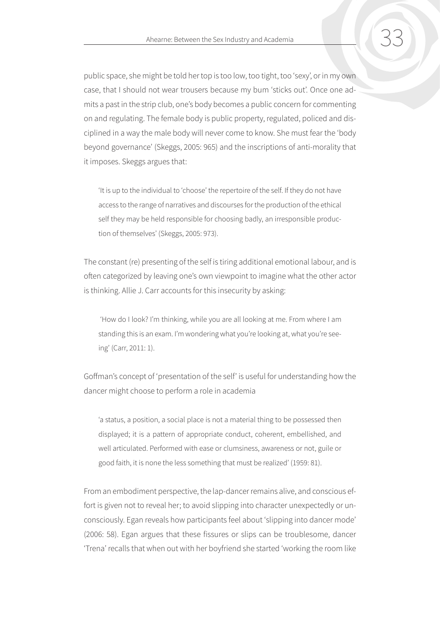public space, she might be told her top is too low, too tight, too 'sexy', or in my own case, that I should not wear trousers because my bum 'sticks out'. Once one admits a past in the strip club, one's body becomes a public concern for commenting on and regulating. The female body is public property, regulated, policed and disciplined in a way the male body will never come to know. She must fear the 'body beyond governance' (Skeggs, 2005: 965) and the inscriptions of anti-morality that it imposes. Skeggs argues that:

'It is up to the individual to 'choose' the repertoire of the self. If they do not have access to the range of narratives and discourses for the production of the ethical self they may be held responsible for choosing badly, an irresponsible production of themselves' (Skeggs, 2005: 973).

The constant (re) presenting of the self is tiring additional emotional labour, and is often categorized by leaving one's own viewpoint to imagine what the other actor is thinking. Allie J. Carr accounts for this insecurity by asking:

 'How do I look? I'm thinking, while you are all looking at me. From where I am standing this is an exam. I'm wondering what you're looking at, what you're seeing' (Carr, 2011: 1).

Goffman's concept of 'presentation of the self' is useful for understanding how the dancer might choose to perform a role in academia

'a status, a position, a social place is not a material thing to be possessed then displayed; it is a pattern of appropriate conduct, coherent, embellished, and well articulated. Performed with ease or clumsiness, awareness or not, guile or good faith, it is none the less something that must be realized' (1959: 81).

From an embodiment perspective, the lap-dancer remains alive, and conscious effort is given not to reveal her; to avoid slipping into character unexpectedly or unconsciously. Egan reveals how participants feel about 'slipping into dancer mode' (2006: 58). Egan argues that these fissures or slips can be troublesome, dancer 'Trena' recalls that when out with her boyfriend she started 'working the room like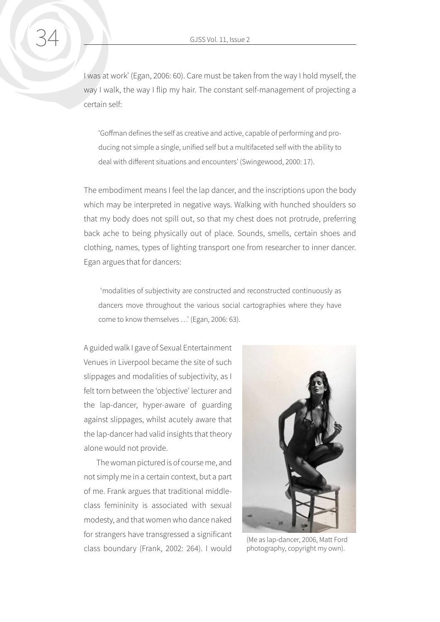I was at work' (Egan, 2006: 60). Care must be taken from the way I hold myself, the way I walk, the way I flip my hair. The constant self-management of projecting a certain self:

'Goffman defines the self as creative and active, capable of performing and producing not simple a single, unified self but a multifaceted self with the ability to deal with different situations and encounters' (Swingewood, 2000: 17).

The embodiment means I feel the lap dancer, and the inscriptions upon the body which may be interpreted in negative ways. Walking with hunched shoulders so that my body does not spill out, so that my chest does not protrude, preferring back ache to being physically out of place. Sounds, smells, certain shoes and clothing, names, types of lighting transport one from researcher to inner dancer. Egan argues that for dancers:

 'modalities of subjectivity are constructed and reconstructed continuously as dancers move throughout the various social cartographies where they have come to know themselves …' (Egan, 2006: 63).

A guided walk I gave of Sexual Entertainment Venues in Liverpool became the site of such slippages and modalities of subjectivity, as I felt torn between the 'objective' lecturer and the lap-dancer, hyper-aware of guarding against slippages, whilst acutely aware that the lap-dancer had valid insights that theory alone would not provide.

The woman pictured is of course me, and not simply me in a certain context, but a part of me. Frank argues that traditional middleclass femininity is associated with sexual modesty, and that women who dance naked for strangers have transgressed a significant class boundary (Frank, 2002: 264). I would



(Me as lap-dancer, 2006, Matt Ford photography, copyright my own).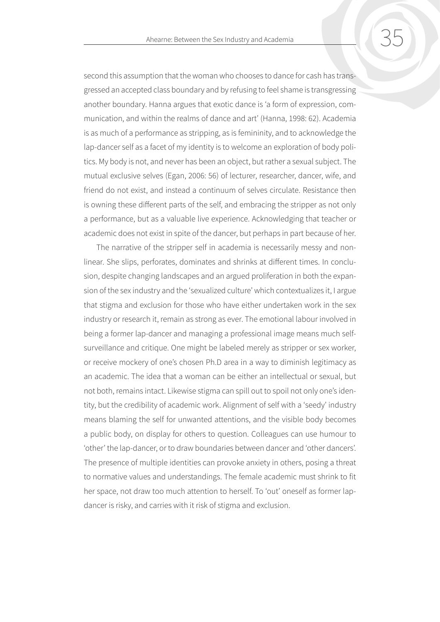second this assumption that the woman who chooses to dance for cash has transgressed an accepted class boundary and by refusing to feel shame is transgressing another boundary. Hanna argues that exotic dance is 'a form of expression, communication, and within the realms of dance and art' (Hanna, 1998: 62). Academia is as much of a performance as stripping, as is femininity, and to acknowledge the lap-dancer self as a facet of my identity is to welcome an exploration of body politics. My body is not, and never has been an object, but rather a sexual subject. The mutual exclusive selves (Egan, 2006: 56) of lecturer, researcher, dancer, wife, and friend do not exist, and instead a continuum of selves circulate. Resistance then is owning these different parts of the self, and embracing the stripper as not only a performance, but as a valuable live experience. Acknowledging that teacher or academic does not exist in spite of the dancer, but perhaps in part because of her.

The narrative of the stripper self in academia is necessarily messy and nonlinear. She slips, perforates, dominates and shrinks at different times. In conclusion, despite changing landscapes and an argued proliferation in both the expansion of the sex industry and the 'sexualized culture' which contextualizes it, I argue that stigma and exclusion for those who have either undertaken work in the sex industry or research it, remain as strong as ever. The emotional labour involved in being a former lap-dancer and managing a professional image means much selfsurveillance and critique. One might be labeled merely as stripper or sex worker, or receive mockery of one's chosen Ph.D area in a way to diminish legitimacy as an academic. The idea that a woman can be either an intellectual or sexual, but not both, remains intact. Likewise stigma can spill out to spoil not only one's identity, but the credibility of academic work. Alignment of self with a 'seedy' industry means blaming the self for unwanted attentions, and the visible body becomes a public body, on display for others to question. Colleagues can use humour to 'other' the lap-dancer, or to draw boundaries between dancer and 'other dancers'. The presence of multiple identities can provoke anxiety in others, posing a threat to normative values and understandings. The female academic must shrink to fit her space, not draw too much attention to herself. To 'out' oneself as former lapdancer is risky, and carries with it risk of stigma and exclusion.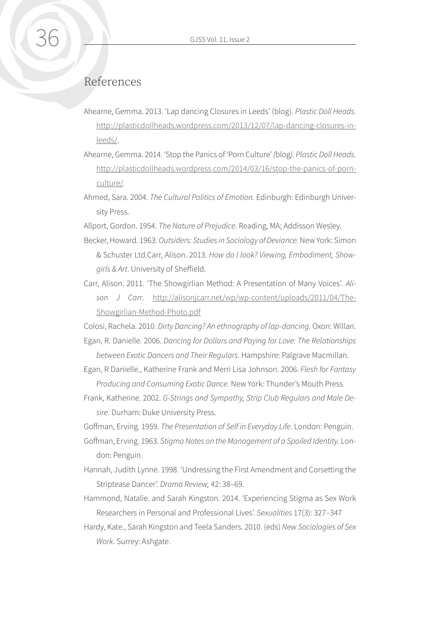## References

- Ahearne, Gemma. 2013. 'Lap dancing Closures in Leeds' (blog). *Plastic Doll Heads*. [http://plasticdollheads.wordpress.com/2013/12/07/lap-dancing-closures-in](http://plasticdollheads.wordpress.com/2013/12/07/lap-dancing-closures-in-leeds/)[leeds/.](http://plasticdollheads.wordpress.com/2013/12/07/lap-dancing-closures-in-leeds/)
- Ahearne, Gemma. 2014. 'Stop the Panics of 'Porn Culture' *(*blog*). Plastic Doll Heads.*  [http://plasticdollheads.wordpress.com/2014/03/16/stop-the-panics-of-porn](http://plasticdollheads.wordpress.com/2014/03/16/stop-the-panics-of-porn-culture/)[culture/.](http://plasticdollheads.wordpress.com/2014/03/16/stop-the-panics-of-porn-culture/)
- Ahmed, Sara. 2004. *The Cultural Politics of Emotion.* Edinburgh: Edinburgh University Press.

Allport, Gordon. 1954. *The Nature of Prejudice*. Reading, MA; Addisson Wesley.

- Becker, Howard. 1963. *Outsiders: Studies in Sociology of Deviance.* New York: Simon & Schuster Ltd.Carr, Alison. 2013. *How do I look? Viewing, Embodiment, Showgirls & Art*. University of Sheffield.
- Carr, Alison. 2011. 'The Showgirlian Method: A Presentation of Many Voices'*. Alison J Carr*. [http://alisonjcarr.net/wp/wp-content/uploads/2011/04/The-](http://alisonjcarr.net/wp/wp-content/uploads/2011/04/The-Showgirlian-Method-Photo.pdf)[Showgirlian-Method-Photo.pdf](http://alisonjcarr.net/wp/wp-content/uploads/2011/04/The-Showgirlian-Method-Photo.pdf)

Colosi, Rachela. 2010. *Dirty Dancing? An ethnography of lap-dancing.* Oxon: Willan.

- Egan, R. Danielle. 2006. *[Dancing for Dollars and Paying for Love: The Relationships](http://www.amazon.com/Dancing-Dollars-Paying-Love-Relationships/dp/1403970459/ref=la_B001JRXH9E_1_3?s=books&ie=UTF8&qid=1389642735&sr=1-3)  [between Exotic Dancers and Their Regulars](http://www.amazon.com/Dancing-Dollars-Paying-Love-Relationships/dp/1403970459/ref=la_B001JRXH9E_1_3?s=books&ie=UTF8&qid=1389642735&sr=1-3)*. Hampshire: Palgrave Macmillan.
- Egan, R Danielle., Katherine Frank and Merri Lisa Johnson. 2006. *Flesh for Fantasy Producing and Consuming Exotic Dance*. New York: Thunder's Mouth Press.
- Frank, Katherine. 2002. *G-Strings and Sympathy, Strip Club Regulars and Male Desire*. Durham: Duke University Press.

Goffman, Erving. 1959. *The Presentation of Self in Everyday Life*. London: Penguin.

- Goffman, Erving. 1963. *Stigma Notes on the Management of a Spoiled Identity.* London: Penguin.
- Hannah, Judith Lynne. 1998. 'Undressing the First Amendment and Corsetting the Striptease Dancer'. *Drama Review,* 42: 38–69.
- Hammond, Natalie. and Sarah Kingston. 2014. 'Experiencing Stigma as Sex Work Researchers in Personal and Professional Lives'. *Sexualities* 17(3): 327–347
- Hardy, Kate., Sarah Kingston and Teela Sanders. 2010. (eds) *New Sociologies of Sex Work*. Surrey: Ashgate.